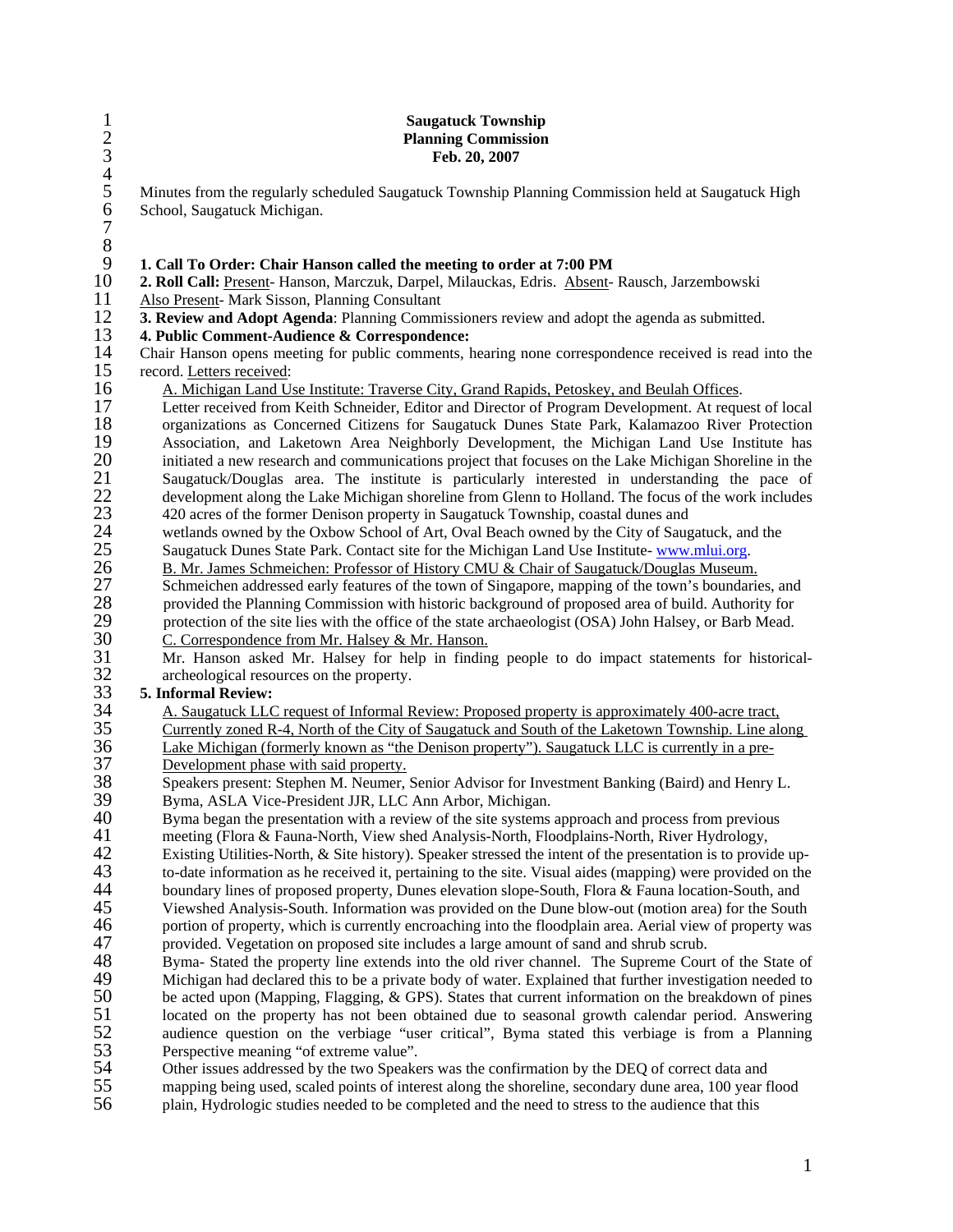| $\frac{1}{2}$ $\frac{3}{4}$ $\frac{4}{5}$ | <b>Saugatuck Township</b><br><b>Planning Commission</b><br>Feb. 20, 2007                                                                                                                                    |
|-------------------------------------------|-------------------------------------------------------------------------------------------------------------------------------------------------------------------------------------------------------------|
|                                           | Minutes from the regularly scheduled Saugatuck Township Planning Commission held at Saugatuck High                                                                                                          |
| 6789                                      | School, Saugatuck Michigan.                                                                                                                                                                                 |
| 10                                        | 1. Call To Order: Chair Hanson called the meeting to order at 7:00 PM<br>2. Roll Call: Present- Hanson, Marczuk, Darpel, Milauckas, Edris. Absent- Rausch, Jarzembowski                                     |
| 11                                        | Also Present- Mark Sisson, Planning Consultant                                                                                                                                                              |
| 12<br>13                                  | 3. Review and Adopt Agenda: Planning Commissioners review and adopt the agenda as submitted.<br>4. Public Comment-Audience & Correspondence:                                                                |
| 14<br>15                                  | Chair Hanson opens meeting for public comments, hearing none correspondence received is read into the<br>record. Letters received:                                                                          |
| 16                                        | A. Michigan Land Use Institute: Traverse City, Grand Rapids, Petoskey, and Beulah Offices.                                                                                                                  |
| 17                                        | Letter received from Keith Schneider, Editor and Director of Program Development. At request of local                                                                                                       |
| 18                                        | organizations as Concerned Citizens for Saugatuck Dunes State Park, Kalamazoo River Protection                                                                                                              |
| 19                                        | Association, and Laketown Area Neighborly Development, the Michigan Land Use Institute has                                                                                                                  |
| 20                                        | initiated a new research and communications project that focuses on the Lake Michigan Shoreline in the                                                                                                      |
| 21                                        | Saugatuck/Douglas area. The institute is particularly interested in understanding the pace of                                                                                                               |
| <b>22</b>                                 | development along the Lake Michigan shoreline from Glenn to Holland. The focus of the work includes                                                                                                         |
| $\frac{23}{24}$                           | 420 acres of the former Denison property in Saugatuck Township, coastal dunes and<br>wetlands owned by the Oxbow School of Art, Oval Beach owned by the City of Saugatuck, and the                          |
| 25                                        | Saugatuck Dunes State Park. Contact site for the Michigan Land Use Institute-www.mlui.org.                                                                                                                  |
| 26                                        | B. Mr. James Schmeichen: Professor of History CMU & Chair of Saugatuck/Douglas Museum.                                                                                                                      |
| $27\,$                                    | Schmeichen addressed early features of the town of Singapore, mapping of the town's boundaries, and                                                                                                         |
| $28\,$                                    | provided the Planning Commission with historic background of proposed area of build. Authority for                                                                                                          |
| 29                                        | protection of the site lies with the office of the state archaeologist (OSA) John Halsey, or Barb Mead.                                                                                                     |
| 30                                        | C. Correspondence from Mr. Halsey & Mr. Hanson.                                                                                                                                                             |
| 31                                        | Mr. Hanson asked Mr. Halsey for help in finding people to do impact statements for historical-                                                                                                              |
| 32                                        | archeological resources on the property.                                                                                                                                                                    |
| 33                                        | 5. Informal Review:                                                                                                                                                                                         |
| 34<br>35                                  | A. Saugatuck LLC request of Informal Review: Proposed property is approximately 400-acre tract,<br>Currently zoned R-4, North of the City of Saugatuck and South of the Laketown Township. Line along       |
| 36                                        | Lake Michigan (formerly known as "the Denison property"). Saugatuck LLC is currently in a pre-                                                                                                              |
| 37                                        | Development phase with said property.                                                                                                                                                                       |
| 38                                        | Speakers present: Stephen M. Neumer, Senior Advisor for Investment Banking (Baird) and Henry L.                                                                                                             |
| 39                                        | Byma, ASLA Vice-President JJR, LLC Ann Arbor, Michigan.                                                                                                                                                     |
| 40                                        | Byma began the presentation with a review of the site systems approach and process from previous                                                                                                            |
| 41                                        | meeting (Flora & Fauna-North, View shed Analysis-North, Floodplains-North, River Hydrology,                                                                                                                 |
| 42                                        | Existing Utilities-North, & Site history). Speaker stressed the intent of the presentation is to provide up-                                                                                                |
| 43                                        | to-date information as he received it, pertaining to the site. Visual aides (mapping) were provided on the                                                                                                  |
| 44                                        | boundary lines of proposed property, Dunes elevation slope-South, Flora & Fauna location-South, and                                                                                                         |
| 45                                        | Viewshed Analysis-South. Information was provided on the Dune blow-out (motion area) for the South                                                                                                          |
| 46<br>47                                  | portion of property, which is currently encroaching into the floodplain area. Aerial view of property was<br>provided. Vegetation on proposed site includes a large amount of sand and shrub scrub.         |
| 48                                        | Byma-Stated the property line extends into the old river channel. The Supreme Court of the State of                                                                                                         |
| 49                                        | Michigan had declared this to be a private body of water. Explained that further investigation needed to                                                                                                    |
| 50                                        | be acted upon (Mapping, Flagging, & GPS). States that current information on the breakdown of pines                                                                                                         |
| 51                                        | located on the property has not been obtained due to seasonal growth calendar period. Answering                                                                                                             |
| 52                                        | audience question on the verbiage "user critical", Byma stated this verbiage is from a Planning                                                                                                             |
| 53                                        | Perspective meaning "of extreme value".                                                                                                                                                                     |
| 54                                        | Other issues addressed by the two Speakers was the confirmation by the DEQ of correct data and                                                                                                              |
| 55<br>56                                  | mapping being used, scaled points of interest along the shoreline, secondary dune area, 100 year flood<br>plain, Hydrologic studies needed to be completed and the need to stress to the audience that this |